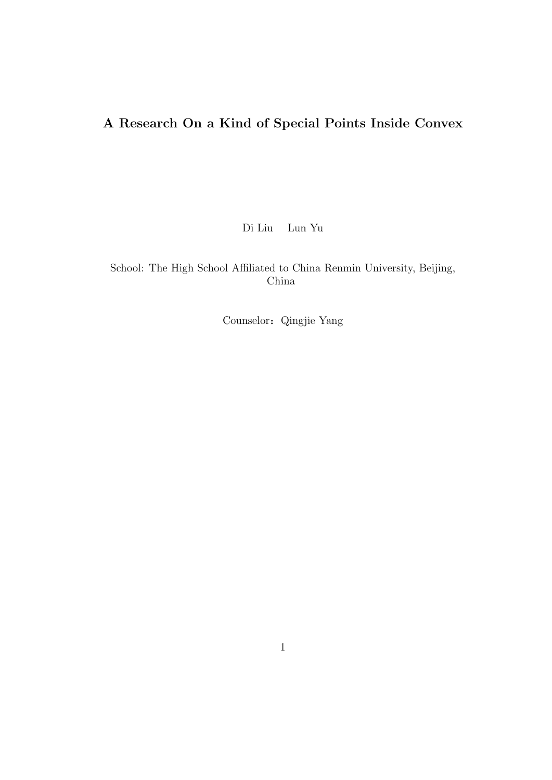# **A Research On a Kind of Special Points Inside Convex**

Di Liu Lun Yu

School: The High School Affiliated to China Renmin University, Beijing, China

Counselor:Qingjie Yang

1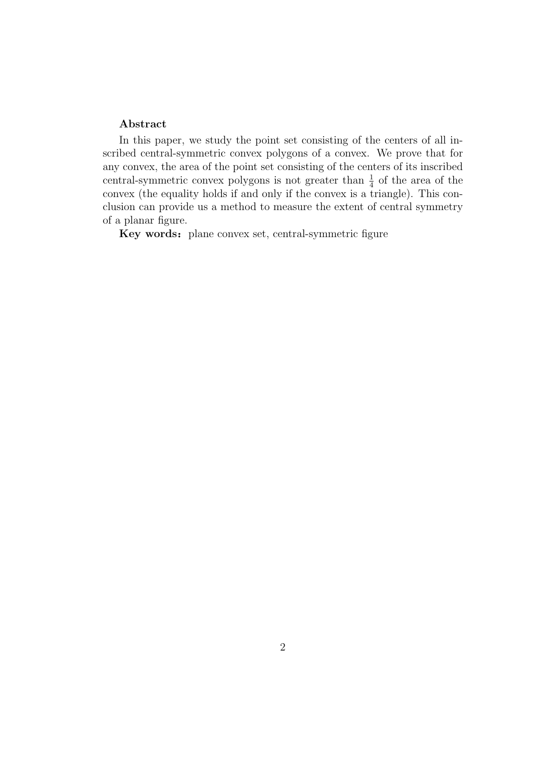#### **Abstract**

In this paper, we study the point set consisting of the centers of all inscribed central-symmetric convex polygons of a convex. We prove that for any convex, the area of the point set consisting of the centers of its inscribed central-symmetric convex polygons is not greater than  $\frac{1}{4}$  of the area of the convex (the equality holds if and only if the convex is a triangle). This conclusion can provide us a method to measure the extent of central symmetry of a planar figure.

Key words: plane convex set, central-symmetric figure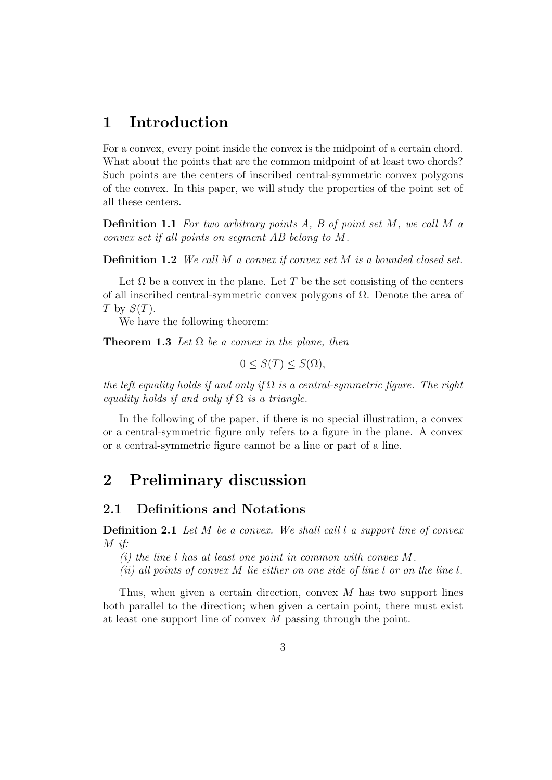## **1 Introduction**

For a convex, every point inside the convex is the midpoint of a certain chord. What about the points that are the common midpoint of at least two chords? Such points are the centers of inscribed central-symmetric convex polygons of the convex. In this paper, we will study the properties of the point set of all these centers.

**Definition 1.1** *For two arbitrary points A, B of point set M, we call M a convex set if all points on segment AB belong to M.*

**Definition 1.2** *We call M a convex if convex set M is a bounded closed set.*

Let  $\Omega$  be a convex in the plane. Let *T* be the set consisting of the centers of all inscribed central-symmetric convex polygons of  $\Omega$ . Denote the area of *T* by *S*(*T*).

We have the following theorem:

**Theorem 1.3** Let  $\Omega$  be a convex in the plane, then

$$
0 \le S(T) \le S(\Omega),
$$

*the left equality holds if and only if* Ω *is a central-symmetric figure. The right equality holds if and only if*  $\Omega$  *is a triangle.* 

In the following of the paper, if there is no special illustration, a convex or a central-symmetric figure only refers to a figure in the plane. A convex or a central-symmetric figure cannot be a line or part of a line.

### **2 Preliminary discussion**

#### **2.1 Definitions and Notations**

**Definition 2.1** *Let M be a convex. We shall call l a support line of convex M if:*

*(i) the line l has at least one point in common with convex M.*

*(ii) all points of convex M lie either on one side of line l or on the line l.*

Thus, when given a certain direction, convex *M* has two support lines both parallel to the direction; when given a certain point, there must exist at least one support line of convex *M* passing through the point.

3